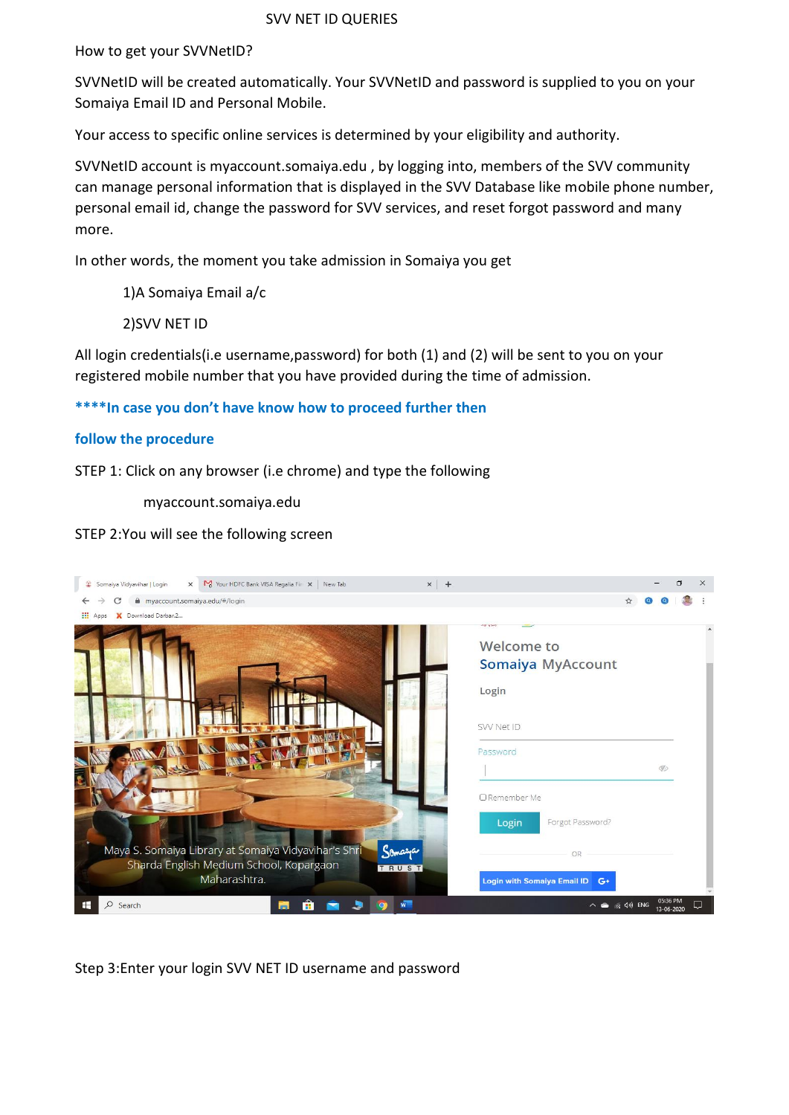# SVV NET ID QUERIES

How to get your SVVNetID?

SVVNetID will be created automatically. Your SVVNetID and password is supplied to you on your Somaiya Email ID and Personal Mobile.

Your access to specific online services is determined by your eligibility and authority.

SVVNetID account is myaccount.somaiya.edu , by logging into, members of the SVV community can manage personal information that is displayed in the SVV Database like mobile phone number, personal email id, change the password for SVV services, and reset forgot password and many more.

In other words, the moment you take admission in Somaiya you get

1)A Somaiya Email a/c

2)SVV NET ID

All login credentials(i.e username,password) for both (1) and (2) will be sent to you on your registered mobile number that you have provided during the time of admission.

# **\*\*\*\*In case you don't have know how to proceed further then**

# **follow the procedure**

STEP 1: Click on any browser (i.e chrome) and type the following

myaccount.somaiya.edu

# STEP 2:You will see the following screen

|                 | M Your HDFC Bank VISA Regalia Fire x   New Tab<br>$x$ +<br>C Somaiya Vidyavihar   Login<br>$\times$                  |  |                        | 门 | $\times$ |
|-----------------|----------------------------------------------------------------------------------------------------------------------|--|------------------------|---|----------|
|                 | myaccount.somaiya.edu/#/login                                                                                        |  |                        |   |          |
| <b>III</b> Apps | X Download Darbar.2<br><b>JOI VIN</b>                                                                                |  |                        |   |          |
|                 |                                                                                                                      |  |                        |   |          |
|                 | Welcome to                                                                                                           |  |                        |   |          |
|                 | <b>Somaiya MyAccount</b>                                                                                             |  |                        |   |          |
|                 | Login                                                                                                                |  |                        |   |          |
|                 | SVV Net ID                                                                                                           |  |                        |   |          |
|                 | Password                                                                                                             |  |                        |   |          |
|                 |                                                                                                                      |  | $\mathcal{G}$          |   |          |
|                 | □ Remember Me                                                                                                        |  |                        |   |          |
|                 | Forgot Password?<br>Login                                                                                            |  |                        |   |          |
|                 | Maya S. Somaiya Library at Somaiya Vidyavihar's Shri<br>Somarja<br>OR                                                |  |                        |   |          |
|                 | Sharda English Medium School, Kopargaon<br>TRUST                                                                     |  |                        |   |          |
|                 | Maharashtra.<br><b>Login with Somalya Email ID</b><br>$G+$                                                           |  |                        |   |          |
| Æ               | $w^-$<br>$\wedge$ $\bullet$ $\circledcirc$ $\circledcirc$ $\circledcirc$ ENG<br>$\alpha$<br>Search<br>$\overline{a}$ |  | 05:36 PM<br>13-06-2020 |   |          |

Step 3:Enter your login SVV NET ID username and password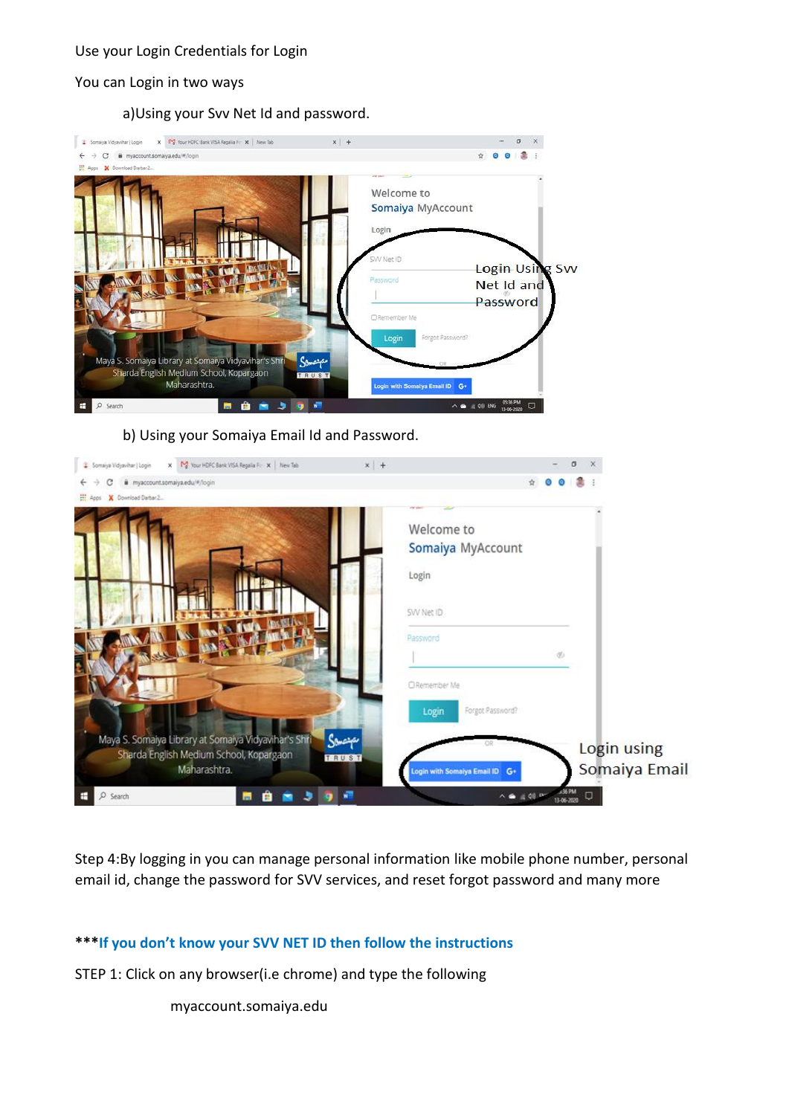# Use your Login Credentials for Login

### You can Login in two ways

a)Using your Svv Net Id and password.



b) Using your Somaiya Email Id and Password.



Step 4:By logging in you can manage personal information like mobile phone number, personal email id, change the password for SVV services, and reset forgot password and many more

# **\*\*\*If you don't know your SVV NET ID then follow the instructions**

STEP 1: Click on any browser(i.e chrome) and type the following

# myaccount.somaiya.edu